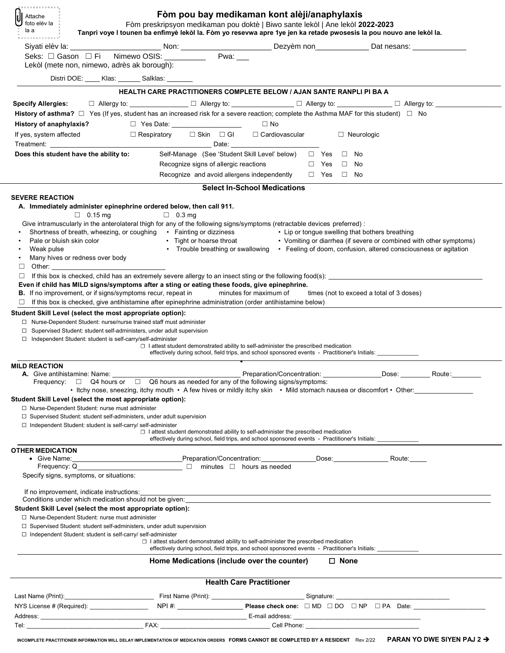| la a                                                                                                                                                                                                                                                                                                                                                                                                                                                                                                           |                                                                                                                                                                                                                                                                                                                                                                                                                                                                                                                                                                                                                                                                                              |                                                                                                                                                                                                                                                                                                                    | Fòm pou bay medikaman kont alèji/anaphylaxis<br>Fòm preskripsyon medikaman pou doktè   Biwo sante lekòl   Ane lekòl 2022-2023                                                                                                                                                                                                                                                                                                                                                                                                                                                                            |
|----------------------------------------------------------------------------------------------------------------------------------------------------------------------------------------------------------------------------------------------------------------------------------------------------------------------------------------------------------------------------------------------------------------------------------------------------------------------------------------------------------------|----------------------------------------------------------------------------------------------------------------------------------------------------------------------------------------------------------------------------------------------------------------------------------------------------------------------------------------------------------------------------------------------------------------------------------------------------------------------------------------------------------------------------------------------------------------------------------------------------------------------------------------------------------------------------------------------|--------------------------------------------------------------------------------------------------------------------------------------------------------------------------------------------------------------------------------------------------------------------------------------------------------------------|----------------------------------------------------------------------------------------------------------------------------------------------------------------------------------------------------------------------------------------------------------------------------------------------------------------------------------------------------------------------------------------------------------------------------------------------------------------------------------------------------------------------------------------------------------------------------------------------------------|
|                                                                                                                                                                                                                                                                                                                                                                                                                                                                                                                |                                                                                                                                                                                                                                                                                                                                                                                                                                                                                                                                                                                                                                                                                              |                                                                                                                                                                                                                                                                                                                    | Tanpri voye I tounen ba enfimyè lekòl la. Fòm yo resevwa apre 1ye jen ka retade pwosesis la pou nouvo ane lekòl la.<br>Siyati elèv la: _______________________________Non: _____________________________Dezyèm non_________________Dat nesans: _______________                                                                                                                                                                                                                                                                                                                                           |
|                                                                                                                                                                                                                                                                                                                                                                                                                                                                                                                | Seks: □ Gason □ Fi Nimewo OSIS: _________                                                                                                                                                                                                                                                                                                                                                                                                                                                                                                                                                                                                                                                    | Pwa:                                                                                                                                                                                                                                                                                                               |                                                                                                                                                                                                                                                                                                                                                                                                                                                                                                                                                                                                          |
| Lekòl (mete non, nimewo, adrès ak borough):                                                                                                                                                                                                                                                                                                                                                                                                                                                                    |                                                                                                                                                                                                                                                                                                                                                                                                                                                                                                                                                                                                                                                                                              |                                                                                                                                                                                                                                                                                                                    |                                                                                                                                                                                                                                                                                                                                                                                                                                                                                                                                                                                                          |
|                                                                                                                                                                                                                                                                                                                                                                                                                                                                                                                | Distri DOE: ____ Klas: ______ Salklas: ______                                                                                                                                                                                                                                                                                                                                                                                                                                                                                                                                                                                                                                                |                                                                                                                                                                                                                                                                                                                    |                                                                                                                                                                                                                                                                                                                                                                                                                                                                                                                                                                                                          |
|                                                                                                                                                                                                                                                                                                                                                                                                                                                                                                                | HEALTH CARE PRACTITIONERS COMPLETE BELOW / AJAN SANTE RANPLI PI BA A                                                                                                                                                                                                                                                                                                                                                                                                                                                                                                                                                                                                                         |                                                                                                                                                                                                                                                                                                                    |                                                                                                                                                                                                                                                                                                                                                                                                                                                                                                                                                                                                          |
| <b>Specify Allergies:</b>                                                                                                                                                                                                                                                                                                                                                                                                                                                                                      |                                                                                                                                                                                                                                                                                                                                                                                                                                                                                                                                                                                                                                                                                              |                                                                                                                                                                                                                                                                                                                    | $\Box$ Allergy to: _________________ $\Box$ Allergy to: ______________ $\Box$ Allergy to: ____________ $\Box$ Allergy to: ____________                                                                                                                                                                                                                                                                                                                                                                                                                                                                   |
|                                                                                                                                                                                                                                                                                                                                                                                                                                                                                                                |                                                                                                                                                                                                                                                                                                                                                                                                                                                                                                                                                                                                                                                                                              |                                                                                                                                                                                                                                                                                                                    | History of asthma? $\Box$ Yes (If yes, student has an increased risk for a severe reaction; complete the Asthma MAF for this student) $\Box$ No                                                                                                                                                                                                                                                                                                                                                                                                                                                          |
| <b>History of anaphylaxis?</b>                                                                                                                                                                                                                                                                                                                                                                                                                                                                                 | □ Yes Date: _____________________                                                                                                                                                                                                                                                                                                                                                                                                                                                                                                                                                                                                                                                            | $\Box$ No                                                                                                                                                                                                                                                                                                          |                                                                                                                                                                                                                                                                                                                                                                                                                                                                                                                                                                                                          |
| If yes, system affected                                                                                                                                                                                                                                                                                                                                                                                                                                                                                        | $\square$ Respiratory $\square$ Skin $\square$ Gl $\square$ Cardiovascular                                                                                                                                                                                                                                                                                                                                                                                                                                                                                                                                                                                                                   |                                                                                                                                                                                                                                                                                                                    | $\Box$ Neurologic                                                                                                                                                                                                                                                                                                                                                                                                                                                                                                                                                                                        |
|                                                                                                                                                                                                                                                                                                                                                                                                                                                                                                                |                                                                                                                                                                                                                                                                                                                                                                                                                                                                                                                                                                                                                                                                                              |                                                                                                                                                                                                                                                                                                                    |                                                                                                                                                                                                                                                                                                                                                                                                                                                                                                                                                                                                          |
| Does this student have the ability to:                                                                                                                                                                                                                                                                                                                                                                                                                                                                         |                                                                                                                                                                                                                                                                                                                                                                                                                                                                                                                                                                                                                                                                                              | Self-Manage (See 'Student Skill Level' below) □ Yes □ No                                                                                                                                                                                                                                                           |                                                                                                                                                                                                                                                                                                                                                                                                                                                                                                                                                                                                          |
|                                                                                                                                                                                                                                                                                                                                                                                                                                                                                                                |                                                                                                                                                                                                                                                                                                                                                                                                                                                                                                                                                                                                                                                                                              | Recognize signs of allergic reactions                                                                                                                                                                                                                                                                              | $\Box$ Yes $\Box$ No                                                                                                                                                                                                                                                                                                                                                                                                                                                                                                                                                                                     |
|                                                                                                                                                                                                                                                                                                                                                                                                                                                                                                                |                                                                                                                                                                                                                                                                                                                                                                                                                                                                                                                                                                                                                                                                                              | Recognize and avoid allergens independently $\square$ Yes $\square$ No                                                                                                                                                                                                                                             |                                                                                                                                                                                                                                                                                                                                                                                                                                                                                                                                                                                                          |
|                                                                                                                                                                                                                                                                                                                                                                                                                                                                                                                |                                                                                                                                                                                                                                                                                                                                                                                                                                                                                                                                                                                                                                                                                              | <b>Select In-School Medications</b>                                                                                                                                                                                                                                                                                |                                                                                                                                                                                                                                                                                                                                                                                                                                                                                                                                                                                                          |
| $\Box$ 0.15 ma<br>Pale or bluish skin color<br>Weak pulse<br>Many hives or redness over body<br>٠<br><b>B.</b> If no improvement, or if signs/symptoms recur, repeat in<br>Student Skill Level (select the most appropriate option):<br>□ Independent Student: student is self-carry/self-administer<br><b>MILD REACTION</b><br>Student Skill Level (select the most appropriate option):<br>□ Nurse-Dependent Student: nurse must administer<br>□ Independent Student: student is self-carry/ self-administer | $\Box$ 0.3 mg<br>Give intramuscularly in the anterolateral thigh for any of the following signs/symptoms (retractable devices preferred) :<br>Even if child has MILD signs/symptoms after a sting or eating these foods, give epinephrine.<br>If this box is checked, give antihistamine after epinephrine administration (order antihistamine below)<br>□ Nurse-Dependent Student: nurse/nurse trained staff must administer<br>□ Supervised Student: student self-administers, under adult supervision<br>Frequency: $\Box$ Q4 hours or $\Box$ Q6 hours as needed for any of the following signs/symptoms:<br>$\Box$ Supervised Student: student self-administers, under adult supervision | minutes for maximum of<br>$\Box$ I attest student demonstrated ability to self-administer the prescribed medication<br>effectively during school, field trips, and school sponsored events - Practitioner's Initials:<br>$\Box$ I attest student demonstrated ability to self-administer the prescribed medication | Shortness of breath, wheezing, or coughing • Fainting or dizziness • Lip or tongue swelling that bothers breathing<br>• Tight or hoarse throat • Vomiting or diarrhea (if severe or combined with other symptoms)<br>• Trouble breathing or swallowing • Feeling of doom, confusion, altered consciousness or agitation<br>times (not to exceed a total of 3 doses)<br>• Itchy nose, sneezing, itchy mouth • A few hives or mildly itchy skin • Mild stomach nausea or discomfort • Other:<br>effectively during school, field trips, and school sponsored events - Practitioner's Initials: ___________ |
|                                                                                                                                                                                                                                                                                                                                                                                                                                                                                                                |                                                                                                                                                                                                                                                                                                                                                                                                                                                                                                                                                                                                                                                                                              |                                                                                                                                                                                                                                                                                                                    |                                                                                                                                                                                                                                                                                                                                                                                                                                                                                                                                                                                                          |
|                                                                                                                                                                                                                                                                                                                                                                                                                                                                                                                |                                                                                                                                                                                                                                                                                                                                                                                                                                                                                                                                                                                                                                                                                              |                                                                                                                                                                                                                                                                                                                    |                                                                                                                                                                                                                                                                                                                                                                                                                                                                                                                                                                                                          |
|                                                                                                                                                                                                                                                                                                                                                                                                                                                                                                                | Frequency: Q_______________________________ □ minutes □ hours as needed                                                                                                                                                                                                                                                                                                                                                                                                                                                                                                                                                                                                                      |                                                                                                                                                                                                                                                                                                                    | • Give Name: Route: Research Manuel Preparation/Concentration: Research Manuel Dose: Route: Route:                                                                                                                                                                                                                                                                                                                                                                                                                                                                                                       |
| Specify signs, symptoms, or situations:                                                                                                                                                                                                                                                                                                                                                                                                                                                                        |                                                                                                                                                                                                                                                                                                                                                                                                                                                                                                                                                                                                                                                                                              |                                                                                                                                                                                                                                                                                                                    |                                                                                                                                                                                                                                                                                                                                                                                                                                                                                                                                                                                                          |
| <b>OTHER MEDICATION</b><br>If no improvement, indicate instructions:<br>Student Skill Level (select the most appropriate option):<br>□ Nurse-Dependent Student: nurse must administer<br>$\Box$ Independent Student: student is self-carry/ self-administer                                                                                                                                                                                                                                                    | $\Box$ Supervised Student: student self-administers, under adult supervision                                                                                                                                                                                                                                                                                                                                                                                                                                                                                                                                                                                                                 | $\Box$ I attest student demonstrated ability to self-administer the prescribed medication                                                                                                                                                                                                                          | Conditions under which medication should not be given:<br>The structure of the structure of the structure of the structure of the structure of the structure of the structure of the structure of the structure of the structure                                                                                                                                                                                                                                                                                                                                                                         |
|                                                                                                                                                                                                                                                                                                                                                                                                                                                                                                                |                                                                                                                                                                                                                                                                                                                                                                                                                                                                                                                                                                                                                                                                                              | Home Medications (include over the counter)                                                                                                                                                                                                                                                                        | effectively during school, field trips, and school sponsored events - Practitioner's Initials: ___________<br>$\Box$ None                                                                                                                                                                                                                                                                                                                                                                                                                                                                                |
|                                                                                                                                                                                                                                                                                                                                                                                                                                                                                                                |                                                                                                                                                                                                                                                                                                                                                                                                                                                                                                                                                                                                                                                                                              |                                                                                                                                                                                                                                                                                                                    |                                                                                                                                                                                                                                                                                                                                                                                                                                                                                                                                                                                                          |
|                                                                                                                                                                                                                                                                                                                                                                                                                                                                                                                |                                                                                                                                                                                                                                                                                                                                                                                                                                                                                                                                                                                                                                                                                              | <b>Health Care Practitioner</b>                                                                                                                                                                                                                                                                                    |                                                                                                                                                                                                                                                                                                                                                                                                                                                                                                                                                                                                          |
|                                                                                                                                                                                                                                                                                                                                                                                                                                                                                                                |                                                                                                                                                                                                                                                                                                                                                                                                                                                                                                                                                                                                                                                                                              |                                                                                                                                                                                                                                                                                                                    |                                                                                                                                                                                                                                                                                                                                                                                                                                                                                                                                                                                                          |
|                                                                                                                                                                                                                                                                                                                                                                                                                                                                                                                |                                                                                                                                                                                                                                                                                                                                                                                                                                                                                                                                                                                                                                                                                              |                                                                                                                                                                                                                                                                                                                    |                                                                                                                                                                                                                                                                                                                                                                                                                                                                                                                                                                                                          |